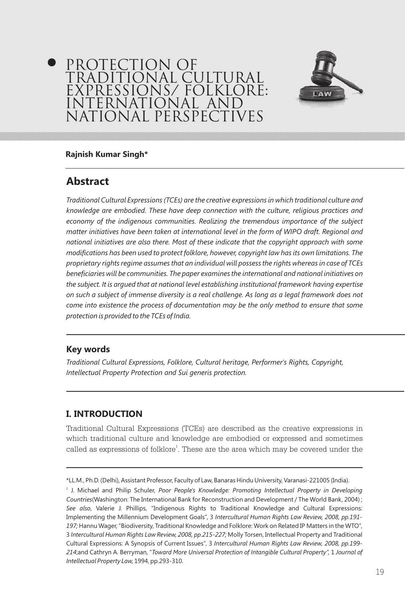# PROTECTION OF TRADITIONAL CULTURAL EXPRESSIONS/ FOLKLORE: INTERNATIONAL ANI NATIONAL PERSPECTIVES



#### **Rajnish Kumar Singh\***

## **Abstract**

*Traditional Cultural Expressions (TCEs) are the creative expressions in which traditional culture and knowledge are embodied. These have deep connection with the culture, religious practices and economy of the indigenous communities. Realizing the tremendous importance of the subject matter initiatives have been taken at international level in the form of WIPO draft. Regional and national initiatives are also there. Most of these indicate that the copyright approach with some modifications has been used to protect folklore, however, copyright law has its own limitations. The proprietary rights regime assumes that an individual will possess the rights whereas in case of TCEs beneficiaries will be communities. The paper examines the international and national initiatives on the subject. It is argued that at national level establishing institutional framework having expertise on such a subject of immense diversity is a real challenge. As long as a legal framework does not come into existence the process of documentation may be the only method to ensure that some protection is provided to the TCEs of India.*

#### **Key words**

*Traditional Cultural Expressions, Folklore, Cultural heritage, Performer's Rights, Copyright, Intellectual Property Protection and Sui generis protection.*

#### **I. INTRODUCTION**

Traditional Cultural Expressions (TCEs) are described as the creative expressions in which traditional culture and knowledge are embodied or expressed and sometimes called as expressions of folklore<sup>1</sup>. These are the area which may be covered under the

<sup>\*</sup>LL.M., Ph.D. (Delhi), Assistant Professor, Faculty of Law, Banaras Hindu University, Varanasi-221005 (India).

<sup>&</sup>lt;sup>1</sup> J. Michael and Philip Schuler, *Poor People's Knowledge: Promoting Intellectual Property in Developing Countries*(Washington: The International Bank for Reconstruction and Development / The World Bank, 2004) ; *See also*, Valerie J. Phillips, "Indigenous Rights to Traditional Knowledge and Cultural Expressions: Implementing the Millennium Development Goals", 3 *Intercultural Human Rights Law Review, 2008, pp.191- 197;* Hannu Wager, "Biodiversity, Traditional Knowledge and Folklore: Work on Related IP Matters in the WTO", 3 *Intercultural Human Rights Law Review, 2008, pp.215-227;* Molly Torsen, Intellectual Property and Traditional Cultural Expressions: A Synopsis of Current Issues", 3 *Intercultural Human Rights Law Review, 2008, pp.199- 214*;and Cathryn A. Berryman, "*Toward More Universal Protection of Intangible Cultural Property",* 1 *Journal of Intellectual Property Law,* 1994, pp.293-310.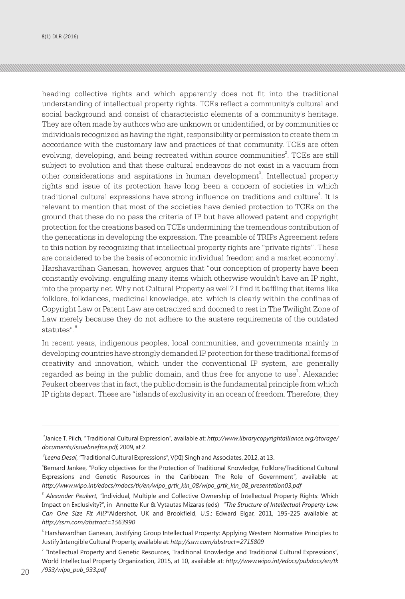heading collective rights and which apparently does not fit into the traditional understanding of intellectual property rights. TCEs reflect a community's cultural and social background and consist of characteristic elements of a community's heritage. They are often made by authors who are unknown or unidentified, or by communities or individuals recognized as having the right, responsibility or permission to create them in accordance with the customary law and practices of that community. TCEs are often evolving, developing, and being recreated within source communities $\mathrm{^{2}}$ . TCEs are still subject to evolution and that these cultural endeavors do not exist in a vacuum from other considerations and aspirations in human development<sup>3</sup>. Intellectual property rights and issue of its protection have long been a concern of societies in which traditional cultural expressions have strong influence on traditions and culture<sup>4</sup>. It is relevant to mention that most of the societies have denied protection to TCEs on the ground that these do no pass the criteria of IP but have allowed patent and copyright protection for the creations based on TCEs undermining the tremendous contribution of the generations in developing the expression. The preamble of TRIPs Agreement refers to this notion by recognizing that intellectual property rights are "private rights". These are considered to be the basis of economic individual freedom and a market economy<sup>5</sup>. Harshavardhan Ganesan, however, argues that "our conception of property have been constantly evolving, engulfing many items which otherwise wouldn't have an IP right, into the property net. Why not Cultural Property as well? I find it baffling that items like folklore, folkdances, medicinal knowledge, etc. which is clearly within the confines of Copyright Law or Patent Law are ostracized and doomed to rest in The Twilight Zone of Law merely because they do not adhere to the austere requirements of the outdated 6 statutes".

In recent years, indigenous peoples, local communities, and governments mainly in developing countries have strongly demanded IP protection for these traditional forms of creativity and innovation, which under the conventional IP system, are generally regarded as being in the public domain, and thus free for anyone to use<sup>7</sup>. Alexander Peukert observes that in fact, the public domain is the fundamental principle from which IP rights depart. These are "islands of exclusivity in an ocean of freedom. Therefore, they

<sup>2</sup> Janice T. Pilch, "Traditional Cultural Expression", available at: *http://www.librarycopyrightalliance.org/storage/ documents/issuebrieftce.pdf,* 2009, at 2.

*<sup>3</sup> Leena Desai, "*Traditional Cultural Expressions", V(XI) Singh and Associates, 2012, at 13.

<sup>4</sup> Bernard Jankee, "Policy objectives for the Protection of Traditional Knowledge, Folklore/Traditional Cultural Expressions and Genetic Resources in the Caribbean: The Role of Government", available at: *http://www.wipo.int/edocs/mdocs/tk/en/wipo\_grtk\_kin\_08/wipo\_grtk\_kin\_08\_presentation03.pdf*

*<sup>5</sup> Alexander Peukert, "*Individual, Multiple and Collective Ownership of Intellectual Property Rights: Which Impact on Exclusivity?", in Annette Kur & Vytautas Mizaras (eds) *"The Structure of Intellectual Property Law. Can One Size Fit All?"*Aldershot, UK and Brookfield, U.S.: Edward Elgar, 2011, 195-225 available at: *http://ssrn.com/abstract=1563990*

<sup>&</sup>lt;sup>6</sup> Harshavardhan Ganesan, Justifying Group Intellectual Property: Applying Western Normative Principles to Justify Intangible Cultural Property, available at *http://ssrn.com/abstract=2715809* :

<sup>7</sup> "Intellectual Property and Genetic Resources, Traditional Knowledge and Traditional Cultural Expressions", World Intellectual Property Organization, 2015, at 10, available at: *http://www.wipo.int/edocs/pubdocs/en/tk*   $20$  /933/wpo\_pub\_933.pdf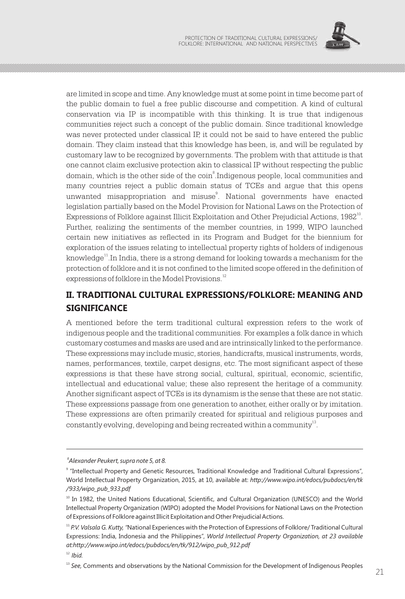

are limited in scope and time. Any knowledge must at some point in time become part of the public domain to fuel a free public discourse and competition. A kind of cultural conservation via IP is incompatible with this thinking. It is true that indigenous communities reject such a concept of the public domain. Since traditional knowledge was never protected under classical IP, it could not be said to have entered the public domain. They claim instead that this knowledge has been, is, and will be regulated by customary law to be recognized by governments. The problem with that attitude is that one cannot claim exclusive protection akin to classical IP without respecting the public domain, which is the other side of the coin $\mathrm{^8}.$ Indigenous people, local communities and many countries reject a public domain status of TCEs and argue that this opens unwanted misappropriation and misuse<sup>9</sup>. National governments have enacted legislation partially based on the Model Provision for National Laws on the Protection of Expressions of Folklore against Illicit Exploitation and Other Prejudicial Actions, 1982<sup>10</sup>. Further, realizing the sentiments of the member countries, in 1999, WIPO launched certain new initiatives as reflected in its Program and Budget for the biennium for exploration of the issues relating to intellectual property rights of holders of indigenous  $11$  knowledge<sup>11</sup>. In India, there is a strong demand for looking towards a mechanism for the protection of folklore and it is not confined to the limited scope offered in the definition of expressions of folklore in the Model Provisions.<sup>12</sup>

# **II. TRADITIONAL CULTURAL EXPRESSIONS/FOLKLORE: MEANING AND SIGNIFICANCE**

A mentioned before the term traditional cultural expression refers to the work of indigenous people and the traditional communities. For examples a folk dance in which customary costumes and masks are used and are intrinsically linked to the performance. These expressions may include music, stories, handicrafts, musical instruments, words, names, performances, textile, carpet designs, etc. The most significant aspect of these expressions is that these have strong social, cultural, spiritual, economic, scientific, intellectual and educational value; these also represent the heritage of a community. Another significant aspect of TCEs is its dynamism is the sense that these are not static. These expressions passage from one generation to another, either orally or by imitation. These expressions are often primarily created for spiritual and religious purposes and constantly evolving, developing and being recreated within a community  $3^2$ .

*<sup>8</sup> Alexander Peukert, supra note 5, at 8.*

<sup>9</sup> "Intellectual Property and Genetic Resources, Traditional Knowledge and Traditional Cultural Expressions", World Intellectual Property Organization, 2015, at 10, available at: *http://www.wipo.int/edocs/pubdocs/en/tk /933/wipo\_pub\_933.pdf*

<sup>&</sup>lt;sup>10</sup> In 1982, the United Nations Educational, Scientific, and Cultural Organization (UNESCO) and the World Intellectual Property Organization (WIPO) adopted the Model Provisions for National Laws on the Protection of Expressions of Folklore against Illicit Exploitation and Other Prejudicial Actions.

<sup>11</sup> *P.V. Valsala G. Kutty, "*National Experiences with the Protection of Expressions of Folklore/ Traditional Cultural Expressions: India, Indonesia and the Philippines", *World Intellectual Property Organization, at 23 available at:http://www.wipo.int/edocs/pubdocs/en/tk/912/wipo\_pub\_912.pdf*

<sup>12</sup>*Ibid.*

<sup>&</sup>lt;sup>13</sup> See, Comments and observations by the National Commission for the Development of Indigenous Peoples  $\frac{21}{21}$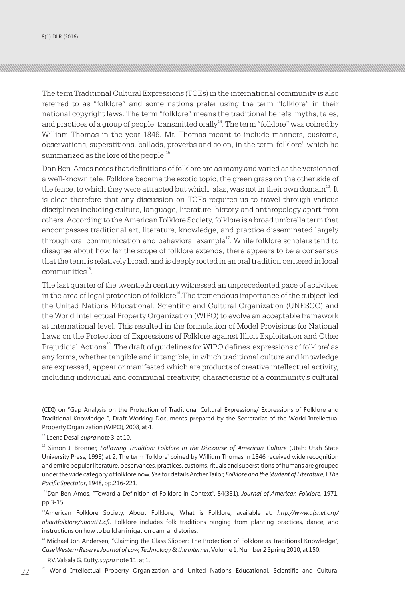8(1) DLR (2016)

The term Traditional Cultural Expressions (TCEs) in the international community is also referred to as "folklore" and some nations prefer using the term "folklore" in their national copyright laws. The term "folklore" means the traditional beliefs, myths, tales, and practices of a group of people, transmitted orally<sup>14</sup>. The term "folklore" was coined by William Thomas in the year 1846. Mr. Thomas meant to include manners, customs, observations, superstitions, ballads, proverbs and so on, in the term 'folklore', which he summarized as the lore of the people.<sup>15</sup>

Dan Ben-Amos notes that definitions of folklore are as many and varied as the versions of a well-known tale. Folklore became the exotic topic, the green grass on the other side of the fence, to which they were attracted but which, alas, was not in their own domain<sup>16</sup>. It is clear therefore that any discussion on TCEs requires us to travel through various disciplines including culture, language, literature, history and anthropology apart from others. According to the American Folklore Society, folklore is a broad umbrella term that encompasses traditional art, literature, knowledge, and practice disseminated largely through oral communication and behavioral example $i^7$ . While folklore scholars tend to disagree about how far the scope of folklore extends, there appears to be a consensus that the term is relatively broad, and is deeply rooted in an oral tradition centered in local communities<sup>18</sup>.

The last quarter of the twentieth century witnessed an unprecedented pace of activities in the area of legal protection of folklore<sup>19</sup>. The tremendous importance of the subject led the United Nations Educational, Scientific and Cultural Organization (UNESCO) and the World Intellectual Property Organization (WIPO) to evolve an acceptable framework at international level. This resulted in the formulation of Model Provisions for National Laws on the Protection of Expressions of Folklore against Illicit Exploitation and Other Prejudicial Actions<sup>20</sup>. The draft of guidelines for WIPO defines 'expressions of folklore' as any forms, whether tangible and intangible, in which traditional culture and knowledge are expressed, appear or manifested which are products of creative intellectual activity, including individual and communal creativity; characteristic of a community's cultural

<sup>16</sup>Dan Ben-Amos, "Toward a Definition of Folklore in Context", 84(331), Journal of American Folklore, 1971, pp.3-15.

<sup>19</sup> P.V. Valsala G. Kutty,*supra* note 11, at 1.

<sup>(</sup>CDI) on "Gap Analysis on the Protection of Traditional Cultural Expressions/ Expressions of Folklore and Traditional Knowledge ", Draft Working Documents prepared by the Secretariat of the World Intellectual Property Organization (WIPO), 2008, at 4.

<sup>14</sup> Leena Desai*, supra* note 3, at 10.

<sup>&</sup>lt;sup>15</sup> Simon J. Bronner, *Following Tradition: Folklore in the Discourse of American Culture (Utah: Utah State* University Press, 1998) at 2; The term 'folklore' coined by Willium Thomas in 1846 received wide recognition and entire popular literature, observances, practices, customs, rituals and superstitions of humans are grouped under the wide category of folklore now. *See* for details Archer Tailor, *Folklore and the Student of Literature*, ll*The Pacific Spectator*, 1948, pp.216-221.

<sup>17</sup>American Folklore Society, About Folklore, What is Folklore, available at: *http://www.afsnet.org/ aboutfolklore/aboutFL.cfi*. Folklore includes folk traditions ranging from planting practices, dance, and instructions on how to build an irrigation dam, and stories.

<sup>&</sup>lt;sup>18</sup> Michael Jon Andersen, "Claiming the Glass Slipper: The Protection of Folklore as Traditional Knowledge", *Case Western Reserve Journal of Law, Technology & the Internet*, Volume 1, Number 2 Spring 2010, at 150.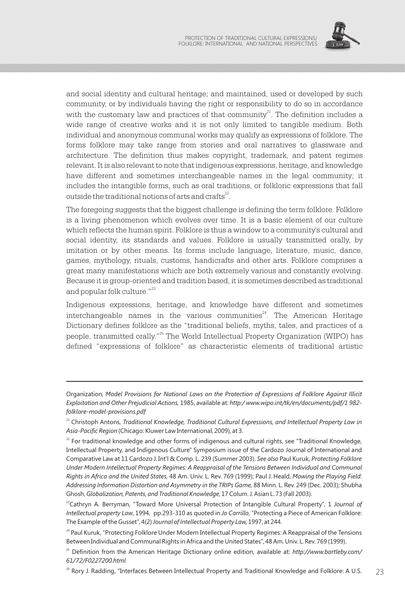

and social identity and cultural heritage; and maintained, used or developed by such community, or by individuals having the right or responsibility to do so in accordance with the customary law and practices of that community $^{21}$ . The definition includes a wide range of creative works and it is not only limited to tangible medium. Both individual and anonymous communal works may qualify as expressions of folklore. The forms folklore may take range from stories and oral narratives to glassware and architecture. The definition thus makes copyright, trademark, and patent regimes relevant. It is also relevant to note that indigenous expressions, heritage, and knowledge have different and sometimes interchangeable names in the legal community; it includes the intangible forms, such as oral traditions, or folkloric expressions that fall outside the traditional notions of arts and crafts<sup>22</sup>.

The foregoing suggests that the biggest challenge is defining the term folklore. Folklore is a living phenomenon which evolves over time. It is a basic element of our culture which reflects the human spirit. Folklore is thus a window to a community's cultural and social identity, its standards and values. Folklore is usually transmitted orally, by imitation or by other means. Its forms include language, literature, music, dance, games, mythology, rituals, customs, handicrafts and other arts. Folklore comprises a great many manifestations which are both extremely various and constantly evolving. Because it is group-oriented and tradition based, it is sometimes described as traditional and popular folk culture."<sup>23</sup>

Indigenous expressions, heritage, and knowledge have different and sometimes interchangeable names in the various communities<sup>24</sup>. The American Heritage Dictionary defines folklore as the "traditional beliefs, myths, tales, and practices of a people, transmitted orally."<sup>25</sup> The World Intellectual Property Organization (WIPO) has defined "expressions of folklore" as characteristic elements of traditional artistic

Organization, *Model Provisions for National Laws on the Protection of Expressions of Folklore Against Illicit Exploitation and Other Prejudicial Actions,* 1985, available at: *http:/ www.wipo.int/tk/en/documents/pdf/1 982 folklore-model-provisions.pdf*

<sup>&</sup>lt;sup>21</sup> Christoph Antons, *Traditional Knowledge, Traditional Cultural Expressions, and Intellectual Property Law in Asia-Pacific Region* (Chicago: Kluwer Law International, 2009), at 3.

 $^{22}$  For traditional knowledge and other forms of indigenous and cultural rights, see "Traditional Knowledge, Intellectual Property, and Indigenous Culture" Symposium issue of the Cardozo Journal of International and Comparative Law at 11 Cardozo J. Int'l & Comp. L. 239 (Summer 2003). *See also* Paul Kuruk, *Protecting Folklore Under Modern Intellectual Property Regimes: A Reappraisal of the Tensions Between Individual and Communal Rights in Africa and the United States,* 48 Am. Univ. L. Rev. 769 (1999); Paul J. Heald, *Mowing the Playing Field: Addressing Information Distortion and Asymmetry in the TRIPs Game,* 88 Minn. L. Rev. 249 (Dec. 2003); Shubha Ghosh, *Globalization, Patents, and Traditional Knowledge,* 17 Colum. J. Asian L. 73 (Fall 2003).

<sup>&</sup>lt;sup>23</sup>Cathryn A. Berryman, "Toward More Universal Protection of Intangible Cultural Property", 1 *Journal of Intellectual property Law*, 1994, pp.293-310 as quoted in *Jo Carrillo*, "Protecting a Piece of American Folklore: The Example of the Gusset", 4(2) *Journal of Intellectual Property Law,* 1997, at 244.

<sup>&</sup>lt;sup>24</sup> Paul Kuruk, "Protecting Folklore Under Modern Intellectual Property Regimes: A Reappraisal of the Tensions Between Individual and Communal Rights in Africa and the United States", 48 Am. Univ. L. Rev. 769 (1999).

<sup>25</sup> Definition from the American Heritage Dictionary online edition, available at: *http://www.bartleby.com/ 61/72/F0227200.html*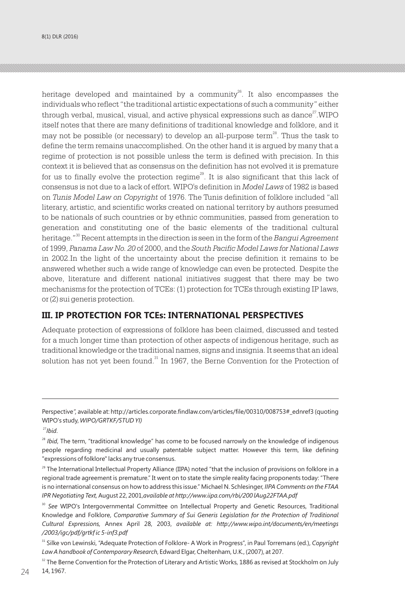heritage developed and maintained by a community<sup>26</sup>. It also encompasses the individuals who reflect "the traditional artistic expectations of such a community" either through verbal, musical, visual, and active physical expressions such as dance  $27$ . WIPO itself notes that there are many definitions of traditional knowledge and folklore, and it may not be possible (or necessary) to develop an all-purpose term<sup>28</sup>. Thus the task to define the term remains unaccomplished. On the other hand it is argued by many that a regime of protection is not possible unless the term is defined with precision. In this context it is believed that as consensus on the definition has not evolved it is premature for us to finally evolve the protection regime<sup>29</sup>. It is also significant that this lack of consensus is not due to a lack of effort. WIPO's definition in *Model Laws* of 1982 is based on *Tunis Model Law on Copyright* of 1976. The Tunis definition of folklore included "all literary, artistic, and scientific works created on national territory by authors presumed to be nationals of such countries or by ethnic communities, passed from generation to generation and constituting one of the basic elements of the traditional cultural <sup>30</sup> heritage." Recent attempts in the direction is seen in the form of the *Bangui Agreement* of 1999, *Panama Law No. 20* of 2000, and the *South Pacific Model Laws for National Laws* in 2002.In the light of the uncertainty about the precise definition it remains to be answered whether such a wide range of knowledge can even be protected. Despite the above, literature and different national initiatives suggest that there may be two mechanisms for the protection of TCEs: (1) protection for TCEs through existing IP laws, or (2) sui generis protection.

### **III. IP PROTECTION FOR TCEs: INTERNATIONAL PERSPECTIVES**

Adequate protection of expressions of folklore has been claimed, discussed and tested for a much longer time than protection of other aspects of indigenous heritage, such as traditional knowledge or the traditional names, signs and insignia. It seems that an ideal solution has not yet been found. $31$  In 1967, the Berne Convention for the Protection of

Perspective", available at: http://articles.corporate.findlaw.com/articles/file/00310/008753# ednref3 (quoting WIPO's study, *WIPO/GRTKF/STUD YI)*

<sup>27</sup>*Ibid*.

<sup>&</sup>lt;sup>28</sup> Ibid, The term, "traditional knowledge" has come to be focused narrowly on the knowledge of indigenous people regarding medicinal and usually patentable subject matter. However this term, like defining "expressions of folklore" lacks any true consensus.

 $^{29}$  The International Intellectual Property Alliance (IIPA) noted "that the inclusion of provisions on folklore in a regional trade agreement is premature." It went on to state the simple reality facing proponents today: "There is no international consensus on how to address this issue." Michael N. Schlesinger, *IIPA Comments on the FTAA IPR Negotiating Text,* August 22, 2001,*available at http://www.iipa.com/rbi/200 lAug22FTAA.pdf* 

<sup>&</sup>lt;sup>30</sup> See WIPO's Intergovernmental Committee on Intellectual Property and Genetic Resources, Traditional Knowledge and Folklore, *Comparative Summary of Sui Generis Legislation for the Protection of Traditional Cultural Expressions,* Annex April 28, 2003, *available at: http://www.wipo.int/documents/en/meetings /2003/igc/pdf/grtkf ic 5-inf3.pdf*

<sup>31</sup> Silke von Lewinski, "Adequate Protection of Folklore- A Work in Progress", in Paul Torremans (ed.), *Copyright Law A handbook of Contemporary Research*, Edward Elgar, Cheltenham, U.K., (2007), at 207.

<sup>&</sup>lt;sup>32</sup> The Berne Convention for the Protection of Literary and Artistic Works, 1886 as revised at Stockholm on July 14, 1967. 39 The Benite Contention for the Protection of Extendity and Artistic Works, 2000 as reflected as Steedillicit 2013.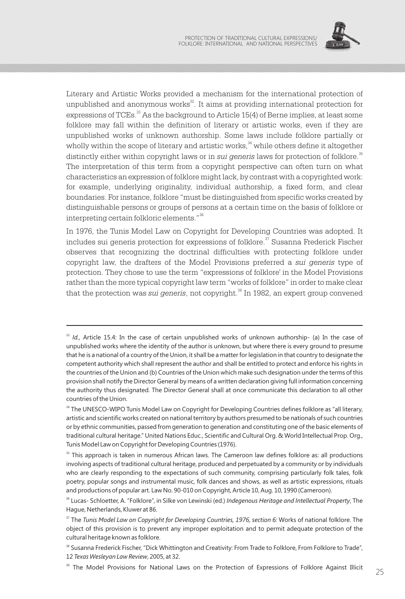

Literary and Artistic Works provided a mechanism for the international protection of unpublished and anonymous works $32$ . It aims at providing international protection for expressions of TCEs.<sup>33</sup> As the background to Article 15(4) of Berne implies, at least some folklore may fall within the definition of literary or artistic works, even if they are unpublished works of unknown authorship. Some laws include folklore partially or wholly within the scope of literary and artistic works,  $34$  while others define it altogether distinctly either within copyright laws or in *sui generis* laws for protection of folklore.<sup>35</sup> The interpretation of this term from a copyright perspective can often turn on what characteristics an expression of folklore might lack, by contrast with a copyrighted work: for example, underlying originality, individual authorship, a fixed form, and clear boundaries. For instance, folklore "must be distinguished from specific works created by distinguishable persons or groups of persons at a certain time on the basis of folklore or interpreting certain folkloric elements."<sup>36</sup>

In 1976, the Tunis Model Law on Copyright for Developing Countries was adopted. It  $\alpha$  includes sui generis protection for expressions of folklore.<sup>37</sup> Susanna Frederick Fischer observes that recognizing the doctrinal difficulties with protecting folklore under copyright law, the drafters of the Model Provisions preferred a *sui generis* type of protection. They chose to use the term "expressions of folklore' in the Model Provisions rather than the more typical copyright law term "works of folklore" in order to make clear that the protection was *sui generis*, not copyright.<sup>38</sup> In 1982, an expert group convened

<sup>&</sup>lt;sup>33</sup> *Id.*, Article 15.4: In the case of certain unpublished works of unknown authorship- (a) In the case of unpublished works where the identity of the author is unknown, but where there is every ground to presume that he is a national of a country of the Union, it shall be a matter for legislation in that country to designate the competent authority which shall represent the author and shall be entitled to protect and enforce his rights in the countries of the Union and (b) Countries of the Union which make such designation under the terms of this provision shall notify the Director General by means of a written declaration giving full information concerning the authority thus designated. The Director General shall at once communicate this declaration to all other countries of the Union.

<sup>&</sup>lt;sup>34</sup> The UNESCO-WIPO Tunis Model Law on Copyright for Developing Countries defines folklore as "all literary, artistic and scientific works created on national territory by authors presumed to be nationals of such countries or by ethnic communities, passed from generation to generation and constituting one of the basic elements of traditional cultural heritage." United Nations Educ., Scientific and Cultural Org. & World Intellectual Prop. Org., Tunis Model Law on Copyright for Developing Countries (1976).

<sup>&</sup>lt;sup>35</sup> This approach is taken in numerous African laws. The Cameroon law defines folklore as: all productions involving aspects of traditional cultural heritage, produced and perpetuated by a community or by individuals who are clearly responding to the expectations of such community, comprising particularly folk tales, folk poetry, popular songs and instrumental music, folk dances and shows, as well as artistic expressions, rituals and productions of popular art. Law No. 90-010 on Copyright, Article 10, Aug. 10, 1990 (Cameroon).

<sup>36</sup> Lucas- Schloetter, A. "Folklore", in Silke von Lewinski (ed.) *Indegenous Heritage and Intellectual Property*, The Hague, Netherlands, Kluwer at 86.

<sup>&</sup>lt;sup>37</sup> The *Tunis Model Law on Copyright for Developing Countries, 1976, section 6: Works of national folklore. The* object of this provision is to prevent any improper exploitation and to permit adequate protection of the cultural heritage known as folklore.

<sup>&</sup>lt;sup>38</sup> Susanna Frederick Fischer, "Dick Whittington and Creativity: From Trade to Folklore, From Folklore to Trade", 12 *Texas Wesleyan Law Review*, 2005, at 32.

<sup>&</sup>lt;sup>39</sup> The Model Provisions for National Laws on the Protection of Expressions of Folklore Against Illicit  $25$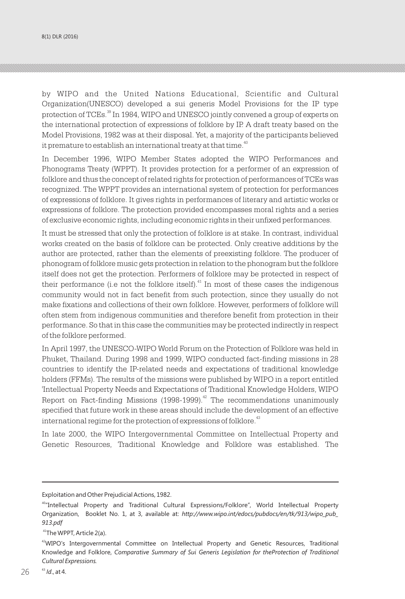by WIPO and the United Nations Educational, Scientific and Cultural Organization(UNESCO) developed a sui generis Model Provisions for the IP type protection of TCEs.<sup>39</sup> In 1984, WIPO and UNESCO jointly convened a group of experts on the international protection of expressions of folklore by IP. A draft treaty based on the Model Provisions, 1982 was at their disposal. Yet, a majority of the participants believed it premature to establish an international treaty at that time.<sup>40</sup>

In December 1996, WIPO Member States adopted the WIPO Performances and Phonograms Treaty (WPPT). It provides protection for a performer of an expression of folklore and thus the concept of related rights for protection of performances of TCEs was recognized. The WPPT provides an international system of protection for performances of expressions of folklore. It gives rights in performances of literary and artistic works or expressions of folklore. The protection provided encompasses moral rights and a series of exclusive economic rights, including economic rights in their unfixed performances.

It must be stressed that only the protection of folklore is at stake. In contrast, individual works created on the basis of folklore can be protected. Only creative additions by the author are protected, rather than the elements of preexisting folklore. The producer of phonogram of folklore music gets protection in relation to the phonogram but the folklore itself does not get the protection. Performers of folklore may be protected in respect of their performance (i.e not the folklore itself). $^{41}$  In most of these cases the indigenous community would not in fact benefit from such protection, since they usually do not make fixations and collections of their own folklore. However, performers of folklore will often stem from indigenous communities and therefore benefit from protection in their performance. So that in this case the communities may be protected indirectly in respect of the folklore performed.

In April 1997, the UNESCO-WIPO World Forum on the Protection of Folklore was held in Phuket, Thailand. During 1998 and 1999, WIPO conducted fact-finding missions in 28 countries to identify the IP-related needs and expectations of traditional knowledge holders (FFMs). The results of the missions were published by WIPO in a report entitled 'Intellectual Property Needs and Expectations of Traditional Knowledge Holders, WIPO Report on Fact-finding Missions (1998-1999).<sup> $42$ </sup> The recommendations unanimously specified that future work in these areas should include the development of an effective international regime for the protection of expressions of folklore.<sup>43</sup>

In late 2000, the WIPO Intergovernmental Committee on Intellectual Property and Genetic Resources, Traditional Knowledge and Folklore was established. The

Exploitation and Other Prejudicial Actions, 1982.

<sup>40</sup>"Intellectual Property and Traditional Cultural Expressions/Folklore", World Intellectual Property Organization, Booklet No. 1, at 3, available at: *http://www.wipo.int/edocs/pubdocs/en/tk/913/wipo\_pub\_ 913.pdf*

<sup>41</sup>The WPPT, Article 2(a).

<sup>42</sup>WIPO's Intergovernmental Committee on Intellectual Property and Genetic Resources, Traditional Knowledge and Folklore, *Comparative Summary of Sui Generis Legislation for theProtection of Traditional Cultural Expressions.*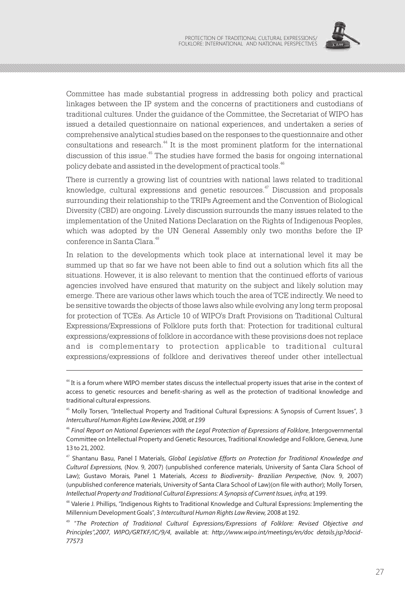

Committee has made substantial progress in addressing both policy and practical linkages between the IP system and the concerns of practitioners and custodians of traditional cultures. Under the guidance of the Committee, the Secretariat of WIPO has issued a detailed questionnaire on national experiences, and undertaken a series of comprehensive analytical studies based on the responses to the questionnaire and other consultations and research.<sup>44</sup> It is the most prominent platform for the international discussion of this issue.<sup>45</sup> The studies have formed the basis for ongoing international policy debate and assisted in the development of practical tools.<sup>46</sup>

There is currently a growing list of countries with national laws related to traditional knowledge, cultural expressions and genetic resources. $\frac{47}{12}$  Discussion and proposals surrounding their relationship to the TRIPs Agreement and the Convention of Biological Diversity (CBD) are ongoing. Lively discussion surrounds the many issues related to the implementation of the United Nations Declaration on the Rights of Indigenous Peoples, which was adopted by the UN General Assembly only two months before the IP conference in Santa Clara.<sup>48</sup>

In relation to the developments which took place at international level it may be summed up that so far we have not been able to find out a solution which fits all the situations. However, it is also relevant to mention that the continued efforts of various agencies involved have ensured that maturity on the subject and likely solution may emerge. There are various other laws which touch the area of TCE indirectly. We need to be sensitive towards the objects of those laws also while evolving any long term proposal for protection of TCEs. As Article 10 of WIPO's Draft Provisions on Traditional Cultural Expressions/Expressions of Folklore puts forth that: Protection for traditional cultural expressions/expressions of folklore in accordance with these provisions does not replace and is complementary to protection applicable to traditional cultural expressions/expressions of folklore and derivatives thereof under other intellectual

<sup>44</sup> It is a forum where WIPO member states discuss the intellectual property issues that arise in the context of access to genetic resources and benefit-sharing as well as the protection of traditional knowledge and traditional cultural expressions.

<sup>45</sup> Molly Torsen, "Intellectual Property and Traditional Cultural Expressions: A Synopsis of Current Issues", 3 *Intercultural Human Rights Law Review, 2008, at 199*

<sup>46</sup> *Final Report on National Experiences with the Legal Protection of Expressions of Folklore*, Intergovernmental Committee on Intellectual Property and Genetic Resources, Traditional Knowledge and Folklore, Geneva, June 13 to 21, 2002.

<sup>47</sup> Shantanu Basu, Panel I Materials, *Global Legislative Efforts on Protection for Traditional Knowledge and Cultural Expressions,* (Nov. 9, 2007) (unpublished conference materials, University of Santa Clara School of Law); Gustavo Morais, Panel 1 Materials, *Access to Biodiversity- Brazilian Perspective,* (Nov. 9, 2007) (unpublished conference materials, University of Santa Clara School of Law)(on file with author); Molly Torsen, *Intellectual Property and Traditional Cultural Expressions: A Synopsis of Current Issues, infra,* at 199.

<sup>48</sup> Valerie J. Phillips, "Indigenous Rights to Traditional Knowledge and Cultural Expressions: Implementing the Millennium Development Goals", 3 *Intercultural Human Rights Law Review,* 2008 at 192.

<sup>49</sup> "*The Protection of Traditional Cultural Expressions/Expressions of Folklore: Revised Objective and Principles",2007, WIPO/GRTKF/IC/9/4*, available at: *http://www.wipo.int/meetings/en/doc details.jsp?docid-77573*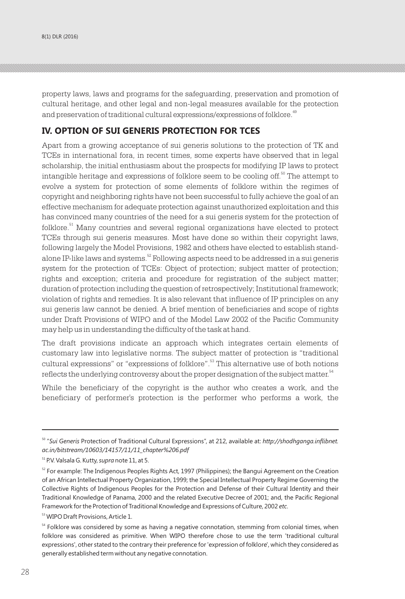property laws, laws and programs for the safeguarding, preservation and promotion of cultural heritage, and other legal and non-legal measures available for the protection and preservation of traditional cultural expressions/expressions of folklore.<sup>49</sup>

#### **IV. OPTION OF SUI GENERIS PROTECTION FOR TCES**

Apart from a growing acceptance of sui generis solutions to the protection of TK and TCEs in international fora, in recent times, some experts have observed that in legal scholarship, the initial enthusiasm about the prospects for modifying IP laws to protect intangible heritage and expressions of folklore seem to be cooling off.<sup>50</sup> The attempt to evolve a system for protection of some elements of folklore within the regimes of copyright and neighboring rights have not been successful to fully achieve the goal of an effective mechanism for adequate protection against unauthorized exploitation and this has convinced many countries of the need for a sui generis system for the protection of  $60$ klore. $^{51}$  Many countries and several regional organizations have elected to protect TCEs through sui generis measures. Most have done so within their copyright laws, following largely the Model Provisions, 1982 and others have elected to establish standalone IP-like laws and systems.<sup>52</sup> Following aspects need to be addressed in a sui generis system for the protection of TCEs: Object of protection; subject matter of protection; rights and exception; criteria and procedure for registration of the subject matter; duration of protection including the question of retrospectively; Institutional framework; violation of rights and remedies. It is also relevant that influence of IP principles on any sui generis law cannot be denied. A brief mention of beneficiaries and scope of rights under Draft Provisions of WIPO and of the Model Law 2002 of the Pacific Community may help us in understanding the difficulty of the task at hand.

The draft provisions indicate an approach which integrates certain elements of customary law into legislative norms. The subject matter of protection is "traditional cultural expressions" or "expressions of folklore".<sup>53</sup> This alternative use of both notions reflects the underlying controversy about the proper designation of the subject matter.<sup>54</sup>

While the beneficiary of the copyright is the author who creates a work, and the beneficiary of performer's protection is the performer who performs a work, the

<sup>53</sup> WIPO Draft Provisions, Article 1.

<sup>50</sup> "*Sui Generis* Protection of Traditional Cultural Expressions", at 212, available at: *http://shodhganga.inflibnet. ac.in/bitstream/10603/14157/11/11\_chapter%206.pdf*

<sup>51</sup> P.V. Valsala G. Kutty, *supra* note 11, at 5.

 $52$  For example: The Indigenous Peoples Rights Act, 1997 (Philippines); the Bangui Agreement on the Creation of an African Intellectual Property Organization, 1999; the Special Intellectual Property Regime Governing the Collective Rights of Indigenous Peoples for the Protection and Defense of their Cultural Identity and their Traditional Knowledge of Panama, 2000 and the related Executive Decree of 2001; and, the Pacific Regional Framework for the Protection of Traditional Knowledge and Expressions of Culture, 2002 *etc*.

<sup>&</sup>lt;sup>54</sup> Folklore was considered by some as having a negative connotation, stemming from colonial times, when folklore was considered as primitive. When WIPO therefore chose to use the term 'traditional cultural expressions', other stated to the contrary their preference for 'expression of folklore', which they considered as generally established term without any negative connotation.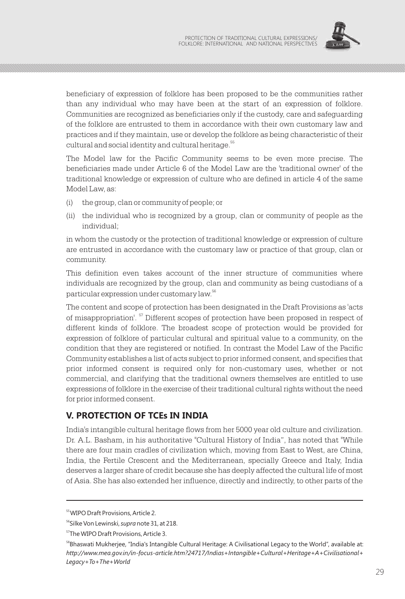

beneficiary of expression of folklore has been proposed to be the communities rather than any individual who may have been at the start of an expression of folklore. Communities are recognized as beneficiaries only if the custody, care and safeguarding of the folklore are entrusted to them in accordance with their own customary law and practices and if they maintain, use or develop the folklore as being characteristic of their cultural and social identity and cultural heritage.<sup>55</sup>

The Model law for the Pacific Community seems to be even more precise. The beneficiaries made under Article 6 of the Model Law are the 'traditional owner' of the traditional knowledge or expression of culture who are defined in article 4 of the same Model Law, as:

- (i) the group, clan or community of people; or
- (ii) the individual who is recognized by a group, clan or community of people as the individual;

in whom the custody or the protection of traditional knowledge or expression of culture are entrusted in accordance with the customary law or practice of that group, clan or community.

This definition even takes account of the inner structure of communities where individuals are recognized by the group, clan and community as being custodians of a particular expression under customary law.  $^{56}$ 

The content and scope of protection has been designated in the Draft Provisions as 'acts of misappropriation'. <sup>57</sup> Different scopes of protection have been proposed in respect of different kinds of folklore. The broadest scope of protection would be provided for expression of folklore of particular cultural and spiritual value to a community, on the condition that they are registered or notified. In contrast the Model Law of the Pacific Community establishes a list of acts subject to prior informed consent, and specifies that prior informed consent is required only for non-customary uses, whether or not commercial, and clarifying that the traditional owners themselves are entitled to use expressions of folklore in the exercise of their traditional cultural rights without the need for prior informed consent.

## **V. PROTECTION OF TCEs IN INDIA**

India's intangible cultural heritage flows from her 5000 year old culture and civilization. Dr. A.L. Basham, in his authoritative "Cultural History of India", has noted that "While there are four main cradles of civilization which, moving from East to West, are China, India, the Fertile Crescent and the Mediterranean, specially Greece and Italy, India deserves a larger share of credit because she has deeply affected the cultural life of most of Asia. She has also extended her influence, directly and indirectly, to other parts of the

<sup>55</sup>WIPO Draft Provisions, Article 2.

<sup>56</sup>Silke Von Lewinski, *supra* note 31, at 218.

<sup>&</sup>lt;sup>57</sup>The WIPO Draft Provisions, Article 3.

<sup>&</sup>lt;sup>58</sup>Bhaswati Mukherjee, "India's Intangible Cultural Heritage: A Civilisational Legacy to the World", available at: *http://www.mea.gov.in/in-focus-article.htm?24717/Indias+Intangible+Cultural+Heritage+A+Civilisational+ Legacy+To+The+World*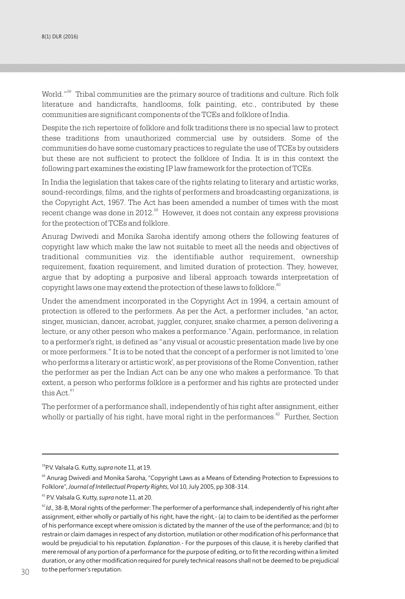World."<sup>58</sup> Tribal communities are the primary source of traditions and culture. Rich folk literature and handicrafts, handlooms, folk painting, etc., contributed by these communities are significant components of the TCEs and folklore of India.

Despite the rich repertoire of folklore and folk traditions there is no special law to protect these traditions from unauthorized commercial use by outsiders. Some of the communities do have some customary practices to regulate the use of TCEs by outsiders but these are not sufficient to protect the folklore of India. It is in this context the following part examines the existing IP law framework for the protection of TCEs.

In India the legislation that takes care of the rights relating to literary and artistic works, sound-recordings, films, and the rights of performers and broadcasting organizations, is the Copyright Act, 1957. The Act has been amended a number of times with the most  $\epsilon$  recent change was done in 2012.  $\frac{59}{10}$  However, it does not contain any express provisions for the protection of TCEs and folklore.

Anurag Dwivedi and Monika Saroha identify among others the following features of copyright law which make the law not suitable to meet all the needs and objectives of traditional communities viz. the identifiable author requirement, ownership requirement, fixation requirement, and limited duration of protection. They, however, argue that by adopting a purposive and liberal approach towards interpretation of copyright laws one may extend the protection of these laws to folklore.<sup>60</sup>

Under the amendment incorporated in the Copyright Act in 1994, a certain amount of protection is offered to the performers. As per the Act, a performer includes, "an actor, singer, musician, dancer, acrobat, juggler, conjurer, snake charmer, a person delivering a lecture, or any other person who makes a performance."Again, performance, in relation to a performer's right, is defined as "any visual or acoustic presentation made live by one or more performers." It is to be noted that the concept of a performer is not limited to 'one who performs a literary or artistic work', as per provisions of the Rome Convention, rather the performer as per the Indian Act can be any one who makes a performance. To that extent, a person who performs folklore is a performer and his rights are protected under this Act.<sup>61</sup>

The performer of a performance shall, independently of his right after assignment, either wholly or partially of his right, have moral right in the performances.  $e^{8}$  Further, Section

<sup>59</sup>P.V. Valsala G. Kutty, *supra* note 11, at 19.

<sup>&</sup>lt;sup>60</sup> Anurag Dwivedi and Monika Saroha, "Copyright Laws as a Means of Extending Protection to Expressions to Folklore", *Journal of Intellectual Property Rights*, Vol 10, July 2005, pp 308-314.

<sup>61</sup> P.V. Valsala G. Kutty, *supra* note 11, at 20.

<sup>&</sup>lt;sup>62</sup>*Id.*, 38-B, Moral rights of the performer: The performer of a performance shall, independently of his right after assignment, either wholly or partially of his right, have the right,- (a) to claim to be identified as the performer of his performance except where omission is dictated by the manner of the use of the performance; and (b) to restrain or claim damages in respect of any distortion, mutilation or other modification of his performance that would be prejudicial to his reputation. *Explanation*.- For the purposes of this clause, it is hereby clarified that mere removal of any portion of a performance for the purpose of editing, or to fit the recording within a limited duration, or any other modification required for purely technical reasons shall not be deemed to be prejudicial to the performer's reputation.